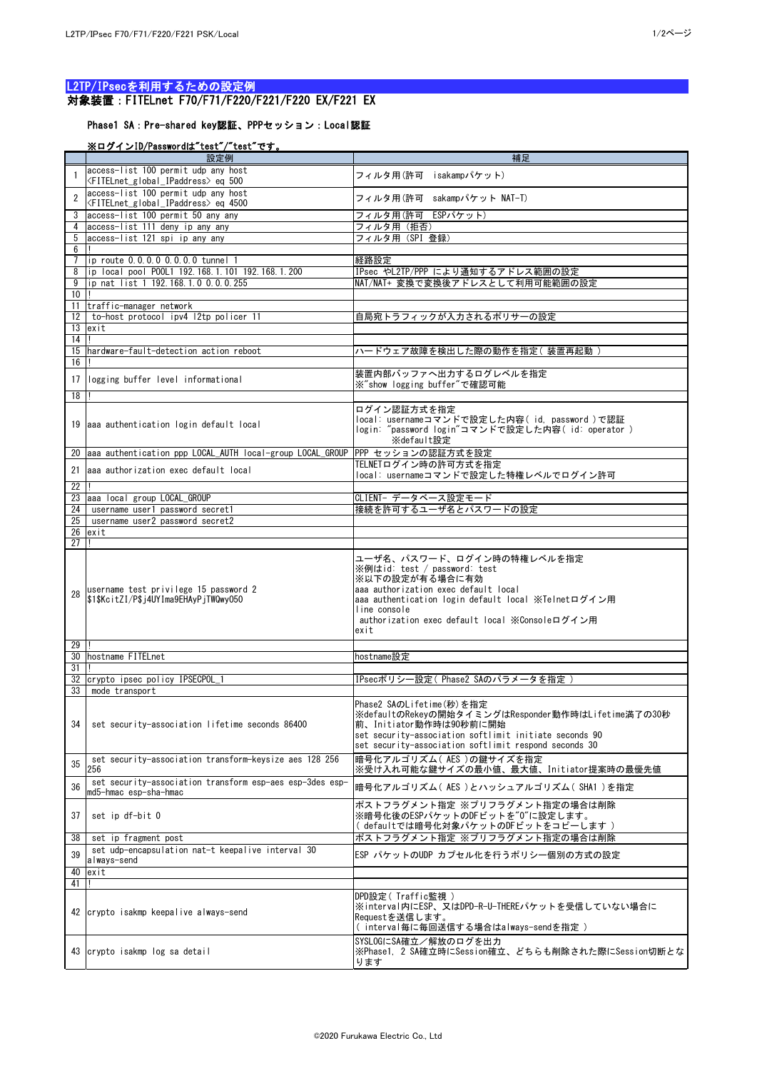## L2TP/IPsecを利用するための設定例 対象装置:FITELnet F70/F71/F220/F221/F220 EX/F221 EX

## Phase1 SA:Pre-shared key認証、PPPセッション:Local認証

## ※ログインID/Passwordは"test"/"test"です。

|                       | 設定例                                                                                                   | 補足                                                                                                                                                                                                                                                   |
|-----------------------|-------------------------------------------------------------------------------------------------------|------------------------------------------------------------------------------------------------------------------------------------------------------------------------------------------------------------------------------------------------------|
|                       | access-list 100 permit udp any host<br><fitelnet_global_ipaddress>eq 500</fitelnet_global_ipaddress>  | フィルタ用(許可 isakampパケット)                                                                                                                                                                                                                                |
|                       | access-list 100 permit udp any host<br><fitelnet_global_ipaddress>eq 4500</fitelnet_global_ipaddress> | フィルタ用(許可 sakampパケット NAT-T)                                                                                                                                                                                                                           |
|                       | access-list 100 permit 50 any any                                                                     | フィルタ用(許可 ESPパケット)                                                                                                                                                                                                                                    |
| 5                     | access-list 111 deny ip any any<br>access-list 121 spi ip any any                                     | フィルタ用(拒否)<br>フィルタ用 (SPI 登録)                                                                                                                                                                                                                          |
| 6                     |                                                                                                       |                                                                                                                                                                                                                                                      |
|                       | ip route 0.0.0.0 0.0.0.0 tunnel 1                                                                     | 経路設定                                                                                                                                                                                                                                                 |
| 8<br>9                | ip local pool P00L1 192.168.1.101 192.168.1.200<br>lip nat list 1 192.168.1.0 0.0.0.255               | IPsec やL2TP/PPP により通知するアドレス範囲の設定<br>NAT/NAT+ 変換で変換後アドレスとして利用可能範囲の設定                                                                                                                                                                                  |
| 10                    |                                                                                                       |                                                                                                                                                                                                                                                      |
| 11<br>12 <sup>1</sup> | traffic-manager network<br>to-host protocol ipv4 12tp policer 11                                      | 自局宛トラフィックが入力されるポリサーの設定                                                                                                                                                                                                                               |
|                       | $\overline{1}3$ lexit                                                                                 |                                                                                                                                                                                                                                                      |
| 14                    |                                                                                                       |                                                                                                                                                                                                                                                      |
| 15<br>16              | Ihardware-fault-detection action reboot                                                               | ハードウェア故障を検出した際の動作を指定(装置再起動)                                                                                                                                                                                                                          |
|                       | 17 logging buffer level informational                                                                 | 装置内部バッファへ出力するログレベルを指定                                                                                                                                                                                                                                |
| 18                    |                                                                                                       | ※"show logging buffer"で確認可能                                                                                                                                                                                                                          |
|                       |                                                                                                       | ログイン認証方式を指定                                                                                                                                                                                                                                          |
|                       | 19 aaa authentication login default local                                                             | local: usernameコマンドで設定した内容( id, password )で認証<br>login: "password login"コマンドで設定した内容( id: operator )<br>※default設定                                                                                                                                    |
|                       | 20 aaa authentication ppp LOCAL_AUTH local-group LOCAL_GROUP                                          | PPP セッションの認証方式を設定                                                                                                                                                                                                                                    |
| 21                    | aaa authorization exec default local                                                                  | TELNETログイン時の許可方式を指定<br>local: usernameコマンドで設定した特権レベルでログイン許可                                                                                                                                                                                          |
| 22<br>23              | aaa local group LOCAL_GROUP                                                                           | CLIENT- データベース設定モード                                                                                                                                                                                                                                  |
| 24                    | username user1 password secret1                                                                       | 接続を許可するユーザ名とパスワードの設定                                                                                                                                                                                                                                 |
| 25                    | username user2 password secret2                                                                       |                                                                                                                                                                                                                                                      |
| 26<br>27              | lexit                                                                                                 |                                                                                                                                                                                                                                                      |
| 28                    | username test privilege 15 password 2<br>\$1\$KcitZI/P\$j4UYIma9EHAyPjTWQwy050                        | ユーザ名、パスワード、ログイン時の特権レベルを指定<br>※例はid: test / password: test<br>※以下の設定が有る場合に有効<br>aaa authorization exec default local<br>aaa authentication login default local ※Telnetログイン用<br>line console<br>authorization exec default local ※Consoleログイン用<br>exit |
| 29<br>30              | hostname FITELnet                                                                                     | hostname設定                                                                                                                                                                                                                                           |
| 31<br>32              | crypto ipsec policy IPSECPOL_1                                                                        | IPsecポリシー設定(Phase2 SAのパラメータを指定)                                                                                                                                                                                                                      |
| 33                    | mode transport                                                                                        |                                                                                                                                                                                                                                                      |
| 34                    | set security-association lifetime seconds 86400                                                       | Phase2 SAのLifetime(秒)を指定<br>※defaultのRekeyの開始タイミングはResponder動作時はLifetime満了の30秒<br>前、Initiator動作時は90秒前に開始<br>set security-association softlimit initiate seconds 90<br>set security-association softlimit respond seconds 30                          |
| 35                    | set security-association transform-keysize aes 128 256<br>256                                         | 相号化アルゴリズム( AES )の鍵サイズを指定<br>※受け入れ可能な鍵サイズの最小値、最大値、Initiator提案時の最優先値                                                                                                                                                                                   |
| 36                    | set security-association transform esp-aes esp-3des esp-<br>md5-hmac esp-sha-hmac                     | 暗号化アルゴリズム( AES )とハッシュアルゴリズム( SHA1 )を指定                                                                                                                                                                                                               |
| 37                    | set ip df-bit 0                                                                                       | ポストフラグメント指定 ※プリフラグメント指定の場合は削除<br>※暗号化後のESPパケットのDFビットを"0"に設定します。<br>( defaultでは暗号化対象パケットのDFビットをコピーします )                                                                                                                                               |
| 38 <sup>1</sup>       | set ip fragment post<br>set udp-encapsulation nat-t keepalive interval 30                             | ポストフラグメント指定 ※プリフラグメント指定の場合は削除                                                                                                                                                                                                                        |
| 39                    | always-send                                                                                           | ESP パケットのUDP カプセル化を行うポリシー個別の方式の設定                                                                                                                                                                                                                    |
| 40                    | exit                                                                                                  |                                                                                                                                                                                                                                                      |
| 41                    |                                                                                                       | DPD設定(Traffic監視)                                                                                                                                                                                                                                     |
|                       | 42 crypto isakmp keepalive always-send                                                                | ※interval内にESP、又はDPD-R-U-THEREパケットを受信していない場合に<br>Requestを送信します。<br>(interval毎に毎回送信する場合はalways-sendを指定)                                                                                                                                               |
|                       | 43 crypto isakmp log sa detail                                                                        | SYSLOGにSA確立/解放のログを出力<br>※Phase1, 2 SA確立時にSession確立、どちらも削除された際にSession切断とな<br>ります                                                                                                                                                                     |